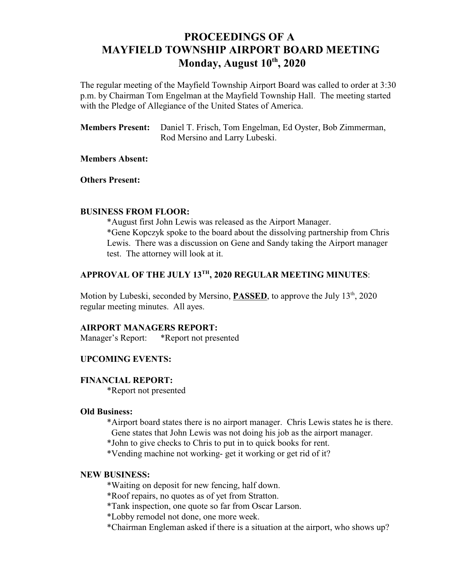# **PROCEEDINGS OF A MAYFIELD TOWNSHIP AIRPORT BOARD MEETING Monday, August 10<sup>th</sup>, 2020**

The regular meeting of the Mayfield Township Airport Board was called to order at 3:30 p.m. by Chairman Tom Engelman at the Mayfield Township Hall. The meeting started with the Pledge of Allegiance of the United States of America.

**Members Present:** Daniel T. Frisch, Tom Engelman, Ed Oyster, Bob Zimmerman, Rod Mersino and Larry Lubeski.

## **Members Absent:**

**Others Present:**

#### **BUSINESS FROM FLOOR:**

\*August first John Lewis was released as the Airport Manager. \*Gene Kopczyk spoke to the board about the dissolving partnership from Chris Lewis. There was a discussion on Gene and Sandy taking the Airport manager test. The attorney will look at it.

## APPROVAL OF THE JULY 13<sup>th</sup>, 2020 REGULAR MEETING MINUTES:

Motion by Lubeski, seconded by Mersino, **PASSED**, to approve the July 13<sup>th</sup>, 2020 regular meeting minutes. All ayes.

## **AIRPORT MANAGERS REPORT:**

Manager's Report: \*Report not presented

## **UPCOMING EVENTS:**

#### **FINANCIAL REPORT:**

\*Report not presented

#### **Old Business:**

\*Airport board states there is no airport manager. Chris Lewis states he is there.

Gene states that John Lewis was not doing his job as the airport manager.

\*John to give checks to Chris to put in to quick books for rent.

\*Vending machine not working- get it working or get rid of it?

#### **NEW BUSINESS:**

\*Waiting on deposit for new fencing, half down.

\*Roof repairs, no quotes as of yet from Stratton.

\*Tank inspection, one quote so far from Oscar Larson.

\*Lobby remodel not done, one more week.

\*Chairman Engleman asked if there is a situation at the airport, who shows up?